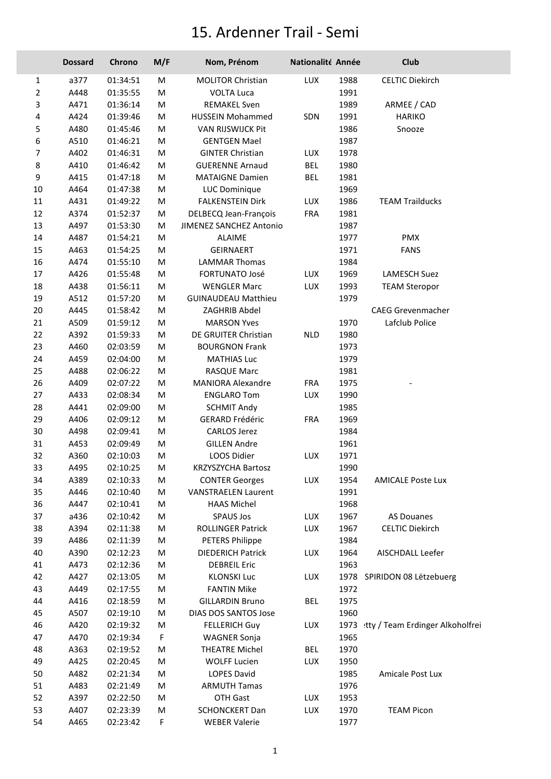## 15. Ardenner Trail - Semi

|                | <b>Dossard</b> | Chrono   | M/F | Nom, Prénom                    | Nationalité Année |      | Club                            |
|----------------|----------------|----------|-----|--------------------------------|-------------------|------|---------------------------------|
| $\mathbf{1}$   | a377           | 01:34:51 | M   | <b>MOLITOR Christian</b>       | LUX               | 1988 | <b>CELTIC Diekirch</b>          |
| $\overline{2}$ | A448           | 01:35:55 | M   | <b>VOLTA Luca</b>              |                   | 1991 |                                 |
| 3              | A471           | 01:36:14 | M   | <b>REMAKEL Sven</b>            |                   | 1989 | ARMEE / CAD                     |
| 4              | A424           | 01:39:46 | M   | <b>HUSSEIN Mohammed</b>        | SDN               | 1991 | <b>HARIKO</b>                   |
| 5              | A480           | 01:45:46 | M   | VAN RIJSWIJCK Pit              |                   | 1986 | Snooze                          |
| 6              | A510           | 01:46:21 | M   | <b>GENTGEN Mael</b>            |                   | 1987 |                                 |
| $\overline{7}$ | A402           | 01:46:31 | M   | <b>GINTER Christian</b>        | LUX               | 1978 |                                 |
| 8              | A410           | 01:46:42 | M   | <b>GUERENNE Arnaud</b>         | <b>BEL</b>        | 1980 |                                 |
| 9              | A415           | 01:47:18 | M   | <b>MATAIGNE Damien</b>         | <b>BEL</b>        | 1981 |                                 |
| 10             | A464           | 01:47:38 | M   | LUC Dominique                  |                   | 1969 |                                 |
| 11             | A431           | 01:49:22 | M   | <b>FALKENSTEIN Dirk</b>        | LUX               | 1986 | <b>TEAM Trailducks</b>          |
| 12             | A374           | 01:52:37 | M   | DELBECQ Jean-François          | FRA               | 1981 |                                 |
| 13             | A497           | 01:53:30 | M   | <b>JIMENEZ SANCHEZ Antonio</b> |                   | 1987 |                                 |
| 14             | A487           | 01:54:21 | M   | <b>ALAIME</b>                  |                   | 1977 | PMX                             |
| 15             | A463           | 01:54:25 | M   | <b>GEIRNAERT</b>               |                   | 1971 | <b>FANS</b>                     |
| 16             | A474           | 01:55:10 | M   | <b>LAMMAR Thomas</b>           |                   | 1984 |                                 |
| 17             | A426           | 01:55:48 | M   | FORTUNATO José                 | LUX               | 1969 | <b>LAMESCH Suez</b>             |
| 18             | A438           | 01:56:11 | M   | <b>WENGLER Marc</b>            | LUX               | 1993 | <b>TEAM Steropor</b>            |
| 19             | A512           | 01:57:20 | M   | <b>GUINAUDEAU Matthieu</b>     |                   | 1979 |                                 |
| 20             | A445           | 01:58:42 | M   | ZAGHRIB Abdel                  |                   |      | <b>CAEG Grevenmacher</b>        |
| 21             | A509           | 01:59:12 | M   | <b>MARSON Yves</b>             |                   | 1970 | Lafclub Police                  |
| 22             | A392           | 01:59:33 | M   | DE GRUITER Christian           | <b>NLD</b>        | 1980 |                                 |
| 23             | A460           | 02:03:59 | M   | <b>BOURGNON Frank</b>          |                   | 1973 |                                 |
| 24             | A459           | 02:04:00 | M   | <b>MATHIAS Luc</b>             |                   | 1979 |                                 |
| 25             | A488           | 02:06:22 | M   | RASQUE Marc                    |                   | 1981 |                                 |
| 26             | A409           | 02:07:22 | M   | <b>MANIORA Alexandre</b>       | <b>FRA</b>        | 1975 |                                 |
| 27             | A433           | 02:08:34 | M   | <b>ENGLARO Tom</b>             | LUX               | 1990 |                                 |
| 28             | A441           | 02:09:00 | M   | <b>SCHMIT Andy</b>             |                   | 1985 |                                 |
| 29             | A406           | 02:09:12 | M   | <b>GERARD Frédéric</b>         | <b>FRA</b>        | 1969 |                                 |
| 30             | A498           | 02:09:41 | M   | <b>CARLOS Jerez</b>            |                   | 1984 |                                 |
| 31             | A453           | 02:09:49 | M   | <b>GILLEN Andre</b>            |                   | 1961 |                                 |
| 32             | A360           | 02:10:03 | M   | LOOS Didier                    | LUX               | 1971 |                                 |
| 33             | A495           | 02:10:25 | M   | KRZYSZYCHA Bartosz             |                   | 1990 |                                 |
| 34             | A389           | 02:10:33 | M   | <b>CONTER Georges</b>          | LUX               | 1954 | <b>AMICALE Poste Lux</b>        |
| 35             | A446           | 02:10:40 | M   | <b>VANSTRAELEN Laurent</b>     |                   | 1991 |                                 |
| 36             | A447           | 02:10:41 | M   | <b>HAAS Michel</b>             |                   | 1968 |                                 |
| 37             | a436           | 02:10:42 | M   | <b>SPAUS Jos</b>               | <b>LUX</b>        | 1967 | <b>AS Douanes</b>               |
| 38             | A394           | 02:11:38 | M   | ROLLINGER Patrick              | LUX               | 1967 | <b>CELTIC Diekirch</b>          |
| 39             | A486           | 02:11:39 | M   | <b>PETERS Philippe</b>         |                   | 1984 |                                 |
| 40             | A390           | 02:12:23 | M   | <b>DIEDERICH Patrick</b>       | <b>LUX</b>        | 1964 | AISCHDALL Leefer                |
| 41             | A473           | 02:12:36 | M   | <b>DEBREIL Eric</b>            |                   | 1963 |                                 |
| 42             | A427           | 02:13:05 | M   | <b>KLONSKI Luc</b>             | <b>LUX</b>        |      | 1978 SPIRIDON 08 Lëtzebuerg     |
| 43             | A449           | 02:17:55 | M   | <b>FANTIN Mike</b>             |                   | 1972 |                                 |
| 44             | A416           | 02:18:59 | M   | <b>GILLARDIN Bruno</b>         | <b>BEL</b>        | 1975 |                                 |
| 45             | A507           | 02:19:10 | M   | DIAS DOS SANTOS Jose           |                   | 1960 |                                 |
| 46             | A420           | 02:19:32 | M   | <b>FELLERICH Guy</b>           | <b>LUX</b>        | 1973 | tty / Team Erdinger Alkoholfrei |
| 47             | A470           | 02:19:34 | F   | <b>WAGNER Sonja</b>            |                   | 1965 |                                 |
| 48             | A363           | 02:19:52 | M   | <b>THEATRE Michel</b>          | <b>BEL</b>        | 1970 |                                 |
| 49             | A425           | 02:20:45 | M   | <b>WOLFF Lucien</b>            | LUX               | 1950 |                                 |
| 50             | A482           | 02:21:34 | M   | LOPES David                    |                   | 1985 | Amicale Post Lux                |
| 51             | A483           | 02:21:49 | M   | <b>ARMUTH Tamas</b>            |                   | 1976 |                                 |
| 52             | A397           | 02:22:50 | M   | OTH Gast                       | LUX               | 1953 |                                 |
| 53             | A407           | 02:23:39 | М   | <b>SCHONCKERT Dan</b>          | LUX               | 1970 | <b>TEAM Picon</b>               |
| 54             | A465           | 02:23:42 | F   | <b>WEBER Valerie</b>           |                   | 1977 |                                 |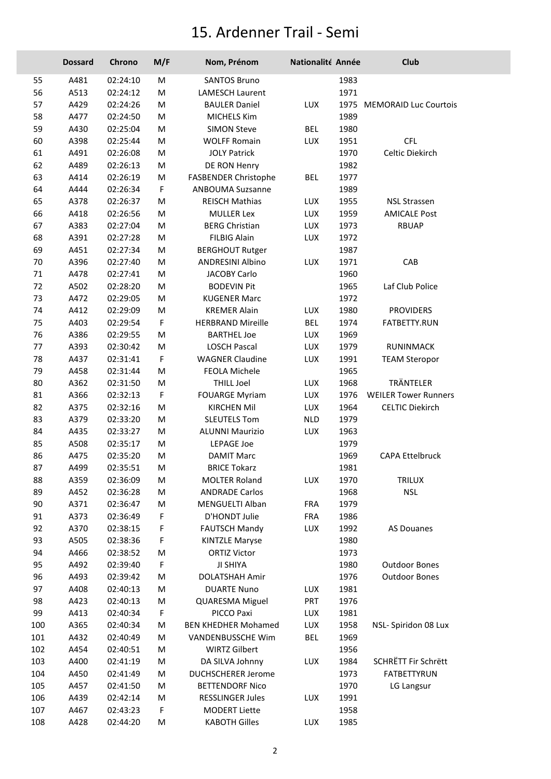## 15. Ardenner Trail - Semi

|     | <b>Dossard</b> | Chrono   | M/F         | Nom, Prénom                | Nationalité Année |      | Club                        |
|-----|----------------|----------|-------------|----------------------------|-------------------|------|-----------------------------|
| 55  | A481           | 02:24:10 | M           | <b>SANTOS Bruno</b>        |                   | 1983 |                             |
| 56  | A513           | 02:24:12 | M           | <b>LAMESCH Laurent</b>     |                   | 1971 |                             |
| 57  | A429           | 02:24:26 | М           | <b>BAULER Daniel</b>       | <b>LUX</b>        |      | 1975 MEMORAID Luc Courtois  |
| 58  | A477           | 02:24:50 | М           | <b>MICHELS Kim</b>         |                   | 1989 |                             |
| 59  | A430           | 02:25:04 | M           | <b>SIMON Steve</b>         | <b>BEL</b>        | 1980 |                             |
| 60  | A398           | 02:25:44 | М           | <b>WOLFF Romain</b>        | LUX               | 1951 | <b>CFL</b>                  |
| 61  | A491           | 02:26:08 | M           | <b>JOLY Patrick</b>        |                   | 1970 | Celtic Diekirch             |
| 62  | A489           | 02:26:13 | М           | DE RON Henry               |                   | 1982 |                             |
| 63  | A414           | 02:26:19 | M           | FASBENDER Christophe       | <b>BEL</b>        | 1977 |                             |
| 64  | A444           | 02:26:34 | $\mathsf F$ | <b>ANBOUMA Suzsanne</b>    |                   | 1989 |                             |
| 65  | A378           | 02:26:37 | M           | <b>REISCH Mathias</b>      | LUX               | 1955 | <b>NSL Strassen</b>         |
| 66  | A418           | 02:26:56 | М           | <b>MULLER Lex</b>          | LUX               | 1959 | <b>AMICALE Post</b>         |
| 67  | A383           | 02:27:04 | М           | <b>BERG Christian</b>      | LUX               | 1973 | <b>RBUAP</b>                |
| 68  | A391           | 02:27:28 | М           | <b>FILBIG Alain</b>        | <b>LUX</b>        | 1972 |                             |
| 69  | A451           | 02:27:34 | М           | <b>BERGHOUT Rutger</b>     |                   | 1987 |                             |
| 70  | A396           | 02:27:40 | М           | <b>ANDRESINI Albino</b>    | LUX               | 1971 | CAB                         |
| 71  | A478           | 02:27:41 | M           | <b>JACOBY Carlo</b>        |                   | 1960 |                             |
| 72  | A502           | 02:28:20 | M           | <b>BODEVIN Pit</b>         |                   | 1965 | Laf Club Police             |
| 73  | A472           | 02:29:05 | М           | <b>KUGENER Marc</b>        |                   | 1972 |                             |
| 74  | A412           | 02:29:09 | M           | <b>KREMER Alain</b>        | LUX               | 1980 | <b>PROVIDERS</b>            |
| 75  | A403           | 02:29:54 | F           | <b>HERBRAND Mireille</b>   | <b>BEL</b>        | 1974 | FATBETTY.RUN                |
| 76  | A386           | 02:29:55 | M           | <b>BARTHEL Joe</b>         | <b>LUX</b>        | 1969 |                             |
| 77  | A393           | 02:30:42 | M           | <b>LOSCH Pascal</b>        | LUX               | 1979 | RUNINMACK                   |
| 78  | A437           | 02:31:41 | F           | <b>WAGNER Claudine</b>     | LUX               | 1991 | <b>TEAM Steropor</b>        |
| 79  | A458           | 02:31:44 | М           | FEOLA Michele              |                   | 1965 |                             |
| 80  | A362           | 02:31:50 | М           | <b>THILL Joel</b>          | <b>LUX</b>        | 1968 | TRÄNTELER                   |
| 81  | A366           | 02:32:13 | $\mathsf F$ | <b>FOUARGE Myriam</b>      | <b>LUX</b>        | 1976 | <b>WEILER Tower Runners</b> |
| 82  | A375           | 02:32:16 | M           | <b>KIRCHEN Mil</b>         | LUX               | 1964 | <b>CELTIC Diekirch</b>      |
| 83  | A379           | 02:33:20 | M           | <b>SLEUTELS Tom</b>        | <b>NLD</b>        | 1979 |                             |
| 84  | A435           | 02:33:27 | М           | <b>ALUNNI Maurizio</b>     | <b>LUX</b>        | 1963 |                             |
| 85  | A508           | 02:35:17 | М           | <b>LEPAGE Joe</b>          |                   | 1979 |                             |
| 86  | A475           | 02:35:20 | M           | <b>DAMIT Marc</b>          |                   | 1969 | <b>CAPA Ettelbruck</b>      |
| 87  | A499           | 02:35:51 | М           | <b>BRICE Tokarz</b>        |                   | 1981 |                             |
| 88  | A359           | 02:36:09 | Μ           | <b>MOLTER Roland</b>       | LUX               | 1970 | <b>TRILUX</b>               |
| 89  | A452           | 02:36:28 | М           | <b>ANDRADE Carlos</b>      |                   | 1968 | <b>NSL</b>                  |
| 90  | A371           | 02:36:47 | M           | MENGUELTI Alban            | <b>FRA</b>        | 1979 |                             |
| 91  | A373           | 02:36:49 | F           | D'HONDT Julie              | <b>FRA</b>        | 1986 |                             |
| 92  | A370           | 02:38:15 | F           | <b>FAUTSCH Mandy</b>       | LUX               | 1992 | <b>AS Douanes</b>           |
| 93  | A505           | 02:38:36 | F           | <b>KINTZLE Maryse</b>      |                   | 1980 |                             |
| 94  | A466           | 02:38:52 | Μ           | <b>ORTIZ Victor</b>        |                   | 1973 |                             |
| 95  | A492           | 02:39:40 | F.          | JI SHIYA                   |                   | 1980 | <b>Outdoor Bones</b>        |
| 96  | A493           | 02:39:42 | м           | <b>DOLATSHAH Amir</b>      |                   | 1976 | <b>Outdoor Bones</b>        |
| 97  | A408           | 02:40:13 | Μ           | <b>DUARTE Nuno</b>         | LUX               | 1981 |                             |
| 98  | A423           | 02:40:13 | Μ           | QUARESMA Miguel            | <b>PRT</b>        | 1976 |                             |
| 99  | A413           | 02:40:34 | F           | PICCO Paxi                 | <b>LUX</b>        | 1981 |                             |
| 100 | A365           | 02:40:34 | Μ           | <b>BEN KHEDHER Mohamed</b> | LUX               | 1958 | NSL- Spiridon 08 Lux        |
| 101 | A432           | 02:40:49 | м           | VANDENBUSSCHE Wim          | <b>BEL</b>        | 1969 |                             |
| 102 | A454           | 02:40:51 | M           | <b>WIRTZ Gilbert</b>       |                   | 1956 |                             |
| 103 | A400           | 02:41:19 | М           | DA SILVA Johnny            | LUX               | 1984 | SCHRËTT Fir Schrëtt         |
| 104 | A450           | 02:41:49 | м           | <b>DUCHSCHERER Jerome</b>  |                   | 1973 | <b>FATBETTYRUN</b>          |
| 105 | A457           | 02:41:50 | Μ           | <b>BETTENDORF Nico</b>     |                   | 1970 | LG Langsur                  |
| 106 | A439           | 02:42:14 | Μ           | <b>RESSLINGER Jules</b>    | LUX               | 1991 |                             |
| 107 | A467           | 02:43:23 | F           | <b>MODERT Liette</b>       |                   | 1958 |                             |
| 108 | A428           | 02:44:20 | Μ           | <b>KABOTH Gilles</b>       | LUX               | 1985 |                             |